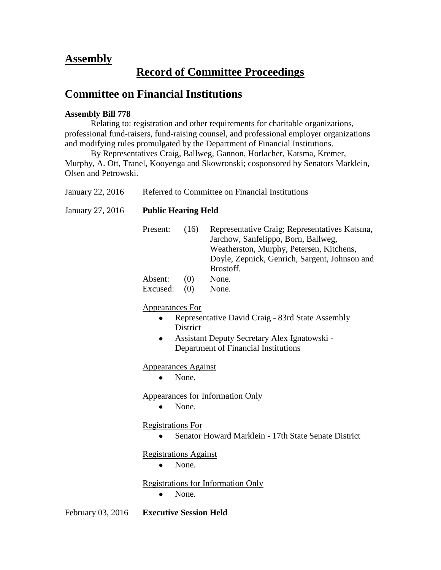## **Assembly**

## **Record of Committee Proceedings**

## **Committee on Financial Institutions**

## **Assembly Bill 778**

Relating to: registration and other requirements for charitable organizations, professional fund-raisers, fund-raising counsel, and professional employer organizations and modifying rules promulgated by the Department of Financial Institutions.

By Representatives Craig, Ballweg, Gannon, Horlacher, Katsma, Kremer, Murphy, A. Ott, Tranel, Kooyenga and Skowronski; cosponsored by Senators Marklein, Olsen and Petrowski.

| January 22, 2016  | Referred to Committee on Financial Institutions                                                                                                                                                         |       |                                                                                                                                                                                                |  |  |
|-------------------|---------------------------------------------------------------------------------------------------------------------------------------------------------------------------------------------------------|-------|------------------------------------------------------------------------------------------------------------------------------------------------------------------------------------------------|--|--|
| January 27, 2016  | <b>Public Hearing Held</b>                                                                                                                                                                              |       |                                                                                                                                                                                                |  |  |
|                   | Present:                                                                                                                                                                                                | (16)  | Representative Craig; Representatives Katsma,<br>Jarchow, Sanfelippo, Born, Ballweg,<br>Weatherston, Murphy, Petersen, Kitchens,<br>Doyle, Zepnick, Genrich, Sargent, Johnson and<br>Brostoff. |  |  |
|                   | Absent:                                                                                                                                                                                                 | (0)   | None.                                                                                                                                                                                          |  |  |
|                   | Excused:                                                                                                                                                                                                | (0)   | None.                                                                                                                                                                                          |  |  |
|                   | <b>Appearances For</b><br>Representative David Craig - 83rd State Assembly<br>$\bullet$<br><b>District</b><br>Assistant Deputy Secretary Alex Ignatowski -<br>٠<br>Department of Financial Institutions |       |                                                                                                                                                                                                |  |  |
|                   | <b>Appearances Against</b><br>None.                                                                                                                                                                     |       |                                                                                                                                                                                                |  |  |
|                   | $\bullet$                                                                                                                                                                                               | None. | <b>Appearances for Information Only</b>                                                                                                                                                        |  |  |
|                   | <b>Registrations For</b><br>Senator Howard Marklein - 17th State Senate District                                                                                                                        |       |                                                                                                                                                                                                |  |  |
|                   | <b>Registrations Against</b><br>None.                                                                                                                                                                   |       |                                                                                                                                                                                                |  |  |
|                   | <b>Registrations for Information Only</b><br>None.<br>٠                                                                                                                                                 |       |                                                                                                                                                                                                |  |  |
| February 03, 2016 | <b>Executive Session Held</b>                                                                                                                                                                           |       |                                                                                                                                                                                                |  |  |